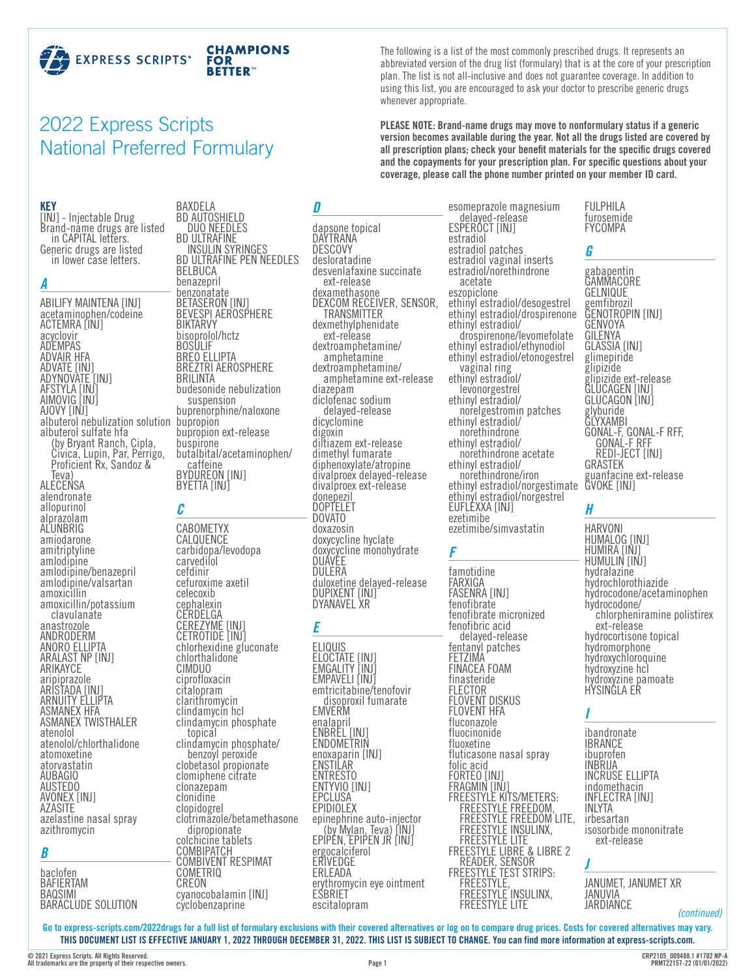

# 2022 Express Scripts National Preferred Formulary

#### **KEY**

[INJ] - Injectable Drug Brand-name drugs are listed in CAPITAL letters. Generic drugs are listed in lower case letters.

#### *A*

ABILIFY MAINTENA [INJ] acetaminophen/codeine ACTEMRA [INJ] acyclovir ADEMPAS ADVAIR HFA ADVATE [INJ] ADYNOVATE [INJ] AFSTYLA [INJ] AIMOVIG [INJ] AJOVY [INJ] albuterol nebulization solution bupropion albuterol sulfate hfa (by Bryant Ranch, Cipla,<br>Civica, Lupin, Par, Perrigo, Proficient Rx, Sandoz & Teva) ALECENSA alendronate allopurinol alprazolam **ALUNBRIG** amiodarone amitriptyline amlodipine amlodipine/benazepril amlodipine/valsartan amoxicillin amoxicillin/potassium clavulanate anastrozole ANDRODERM ANORO ELLIPTA ARALAST NP [INJ] ARIKAYCE aripiprazole ARISTADA [INJ] ARNUITY ELLIPTA ASMANEX HFA ASMANEX TWISTHALER atenolol atenolol/chlorthalidone atomoxetine atorvastatin AUBAGIO AUSTEDO AVONEX [INJ] AZASITE azelastine nasal spray azithromycin

#### *B*

baclofen BAFIERTAM **BAQSIMI** BARACLUDE SOLUTION

BD AUTOSHIELD DUO NEEDLES BD ULTRAFINE INSULIN SYRINGES BD ULTRAFINE PEN NEEDLES **BELBUCA** benazepril benzonatate BETASERON [INJ] BEVESPI AEROSPHERE BIKTARVY bisoprolol/hctz **BOSULIF** BREO ELLIPTA BREZTRI AEROSPHERE BRILINTA budesonide nebulization

BAXDELA

buprenorphine/naloxone bupropion ext-release buspirone butalbital/acetaminophen/ caffeine<br>BYDUREON [INJ] BYETTA **[INJ**]

#### *C*

CABOMETYX CALQUENCE carbidopa/levodopa carvedilol cefdinir cefuroxime axetil celecoxib cephalexin **CERDELGA** CEREZYME [INJ] CETROTIDE [INJ] chlorhexidine gluconate chlorthalidone CIMDUO ciprofloxacin citalopram clarithromycin clindamycin hcl topical<br>clindamycin phosphate/<br>benzoyl peroxide<br>clobetasol propionate clomiphene citrate clonazepam clonidine clopidogrel clotrimazole/betamethasone colchicine tablets **COMBIPATCH** COMBIVENT RESPIMAT COMETRIQ CREON cyanocobalamin [INJ] cyclobenzaprine

#### *D*

dapsone topical **DAYTRANA** DESCOVY desloratadine desvenlafaxine succinate ext-release dexamethasone DEXCOM RECEIVER, SENSOR, TRANSMITTER TRANSMITTER<br>dexmethylphenidate<br>ext-release dextroamphetamine/<br>
amphetamine<br>
dextroamphetamine<br>
amphetamine ext-release<br>
diazepam diclofenac sodium dicyclomine digoxin diltiazem ext-release dimethyl fumarate diphenoxylate/atropine divalproex delayed-release divalproex ext-release donepezil DOPTELET DOVATO doxazosin doxycycline hyclate doxycycline monohydrate DUAVEE DULERA duloxetine delayed-release DUPIXENT [INJ] DYANAVEL XR

### *E*

ELIQUIS ELOCTATE [INJ] EMGALITY [INJ] EMPAVELI [INJ] emtricitabine/tenofovir disoproxil fumarate EMVERM enalapril ENBREL [INJ] **ENDOMETRIN** enoxaparin [INJ] ENSTILAR ENTRESTO ENTYVIO [INJ] EPCLUSA EPIDIOLEX<br>epinephrine auto-injector epinephrine auto-injector (by Mylan, Teva) [INJ] EPIPEN, EPIPEN JR [INJ] ergocalciferol ERIVEDGE ERLEADA erythromycin eye ointment **ESBRIET** escitalopram

esomeprazole magnesium<br>delayed-release<br>ESPEROCT [INJ] estradiol estradiol patches estradiol vaginal inserts estradiol/norethindrone acetate eszopiclone ethinyl estradiol/desogestrel ethinyl estradiol/drospirenone drospirenone/levomefolate<br>ethinyl estradiol/ethynodiol<br>ethinyl estradiol/etonogestrel ethinyl estradiol/<br>ethinyl estradiol/<br>levonorgestrel<br>ethinyl estradiol/<br>ethinyl estradiol/<br>ethinyl estradiol/<br>ethinyl estradiol/ norethindrone acetate ethinyl estradiol/ norethindrone/iron ethinyl estradiol/norgestimate ethinyl estradiol/norgestrel EUFLEXXA [INJ] ezetimibe ezetimibe/simvastatin

The following is a list of the most commonly prescribed drugs. It represents an abbreviated version of the drug list (formulary) that is at the core of your prescription plan. The list is not all-inclusive and does not guarantee coverage. In addition to using this list, you are encouraged to ask your doctor to prescribe generic drugs

**PLEASE NOTE: Brand-name drugs may move to nonformulary status if a generic version becomes available during the year. Not all the drugs listed are covered by all prescription plans; check your benefit materials for the specific drugs covered and the copayments for your prescription plan. For specific questions about your coverage, please call the phone number printed on your member ID card.**

*F*

whenever appropriate.

famotidine FARXIGA FASENRA [INJ] fenofibrate fenofibrate micronized fenofibric acid delayed-release fentanyl patches FETZIMA FINACEA FOAM finasteride FLECTOR FLOVENT DISKUS FLOVENT HFA fluconazole fluocinonide fluoxetine fluticasone nasal spray folic acid FORTEO [INJ] FRAGMIN [INJ] FREESTYLE KITS/METERS: FREESTYLE FREEDOM, FREESTYLE FREEDOM LITE, FREESTYLE INSULINX, FREESTYLE LITE FREESTYLE LIBRE & LIBRE 2 READER, SENSOR FREESTYLE TEST STRIPS: FREESTYLE, FREESTYLE INSULINX,<br>FREESTYLE LITE

#### FULPHILA furosemide FYCOMPA

#### *G*

gabapentin GAMMACORE GELNIQUE gemfibrozil GENOTROPIN [INJ] GENVOYA GILENYA GLASSIA [INJ] glimepiride glipizide glipizide ext-release GLUCAGEN [INJ] GLUCAGON [INJ] glyburide GLYXAMBI GONAL-F, GONAL-F RFF, GONAL-F RFF REDI-JECT [INJ] GRASTEK guanfacine ext-release GVOKE [INJ]

### *H*

HARVONI HUMALOG [INJ] HUMIRA [INJ] HUMULIN [INJ] hydralazine hydrochlorothiazide hydrocodone/acetaminophen chlorpheniramine polistirex ext-release hydrocortisone topical hydromorphone hydroxychloroquine hydroxyzine hcl hydroxyzine pamoate HYSINGLA ER

#### *I*

ibandronate IBRANCE ibuprofen INBRIJA INCRUSE ELLIPTA indomethacin INFLECTRA [INJ] INLYTA irbesartan isosorbide mononitrate ext-release

#### *J*

JANUMET, JANUMET XR JANUVIA JARDIANCE

*(continued)*

**Go to [express-scripts.com/2022drugs](https://express-scripts.com/2022drugs) for a full list of formulary exclusions with their covered alternatives or log on to compare drug prices. Costs for covered alternatives may vary. THIS DOCUMENT LIST IS EFFECTIVE JANUARY 1, 2022 THROUGH DECEMBER 31, 2022. THIS LIST IS SUBJECT TO CHANGE. You can find more information at [express-scripts.com](https://express-scripts.com).**

**© 2021 Express Scripts. All Rights Reserved. All trademarks are the property of their respective owners.**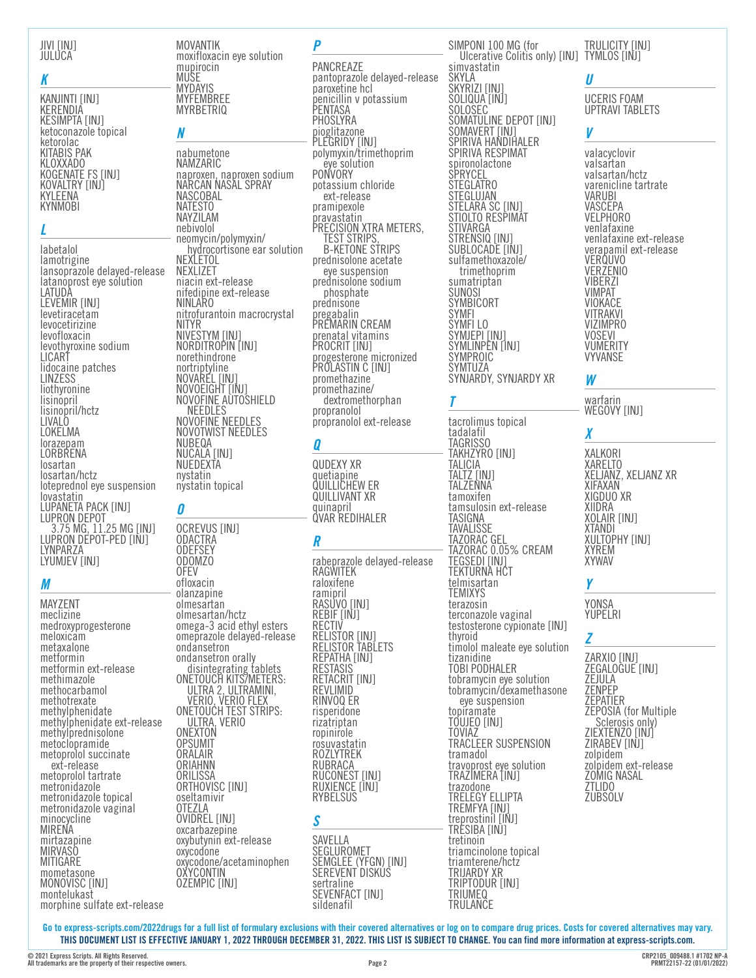#### JIVI [INJ] JULUCA

#### *K*

KANJINTI [INJ] KERENDIA KESIMPTA [INJ] ketoconazole topical ketorolac KITABIS PAK KLOXXADO KOGENATE FS [INJ] KOVALTRY [INJ] KYLEENA **KYNMOBI** 

#### *L*

labetalol lamotrigine lansoprazole delayed-release latanoprost eye solution LATUDA LEVEMIR [INJ] levetiracetam levocetirizine levofloxacin levothyroxine sodium LICART lidocaine patches LINZESS **liothyronine** lisinopril lisinopril/hctz LIVALO LOKELMA lorazepam LORBRENA losartan losartan/hctz loteprednol eye suspension lovastatin LUPANETA PACK [INJ] LUPRON DEPOT 3.75 MG, 11.25 MG [INJ] LUPRON DEPOT-PED [INJ] LYNPARZA LYUMJEV [INJ]

## *M*

MAYZENT meclizine medroxyprogesterone meloxicam metaxalone metformin metformin ext-release methimazole methocarbamol methotrexate methylphenidate methylphenidate ext-release methylprednisolone metoclopramide metoprolol succinate ext-release metoprolol tartrate metronidazole metronidazole topical metronidazole vaginal minocycline MIRENA mirtazapine MIRVASO **MITIGARE** mometasone MONOVISC [INJ] montelukast morphine sulfate ext-release MOVANTIK moxifloxacin eye solution mupirocin MUSE MYDAYIS MYFEMBREE MYRBETRIQ

### *N*

nabumetone NAMZARIC naproxen, naproxen sodium NARCAN NASAL SPRAY **NASCOBAL** NATESTO NAYZILAM nebivolol neomycin/polymyxin/<br>hydrocortisone ear solution<br>NEXLETOL NEXLIZET niacin ext-release nifedipine ext-release NINLARO nitrofurantoin macrocrystal NITYR NIVESTYM [INJ] NORDITROPIN [INJ] norethindrone nortriptyline NOVAREL [INJ] NOVOEIGHT [INJ] NOVOFINE AUTOSHIELD NEEDLES NOVOFINE NEEDLES NOVOTWIST NEEDLES NUBEQA NUCALA [INJ] NUEDEXTA nystatin nystatin topical

### *O*

OCREVUS [INJ] ODACTRA **ODEFSEY** ODOMZO OFEV ofloxacin olanzapine olmesartan olmesartan/hctz omega-3 acid ethyl esters omeprazole delayed-release ondansetron ondansetron orally<br>disintegrating tablets<br>ONETOUCH KITS/METERS: ULTRA 2, ULTRAMINI, VERIO, VERIO FLEX ONETOUCH TEST STRIPS: ULTRA, VERIO ONEXTON OPSUMIT ORALAIR ORIAHNN **ORILISSA** ORTHOVISC [INJ] oseltamivir OTEZLA OVIDREL [INJ] oxcarbazepine oxybutynin ext-release oxycodone oxycodone/acetaminophen OXYCONTIN OZEMPIC [INJ]

#### *P*

PANCREAZE pantoprazole delayed-release paroxetine hcl penicillin v potassium PENTASA **PHOSLYRA** pioglitazone PLEGRIDY [INJ] polymyxin/trimethoprim eye solution PONVORY potassium chloride ext-release pramipexole pravastatin PRECISION XTRA METERS,<br>TEST STRIPS, B-KETONE STRIPS prednisolone acetate eye suspension<br>prednisolone sodium<br>phosphate<br>prednisone pregabalin PREMARIN CREAM prenatal vitamins PROCRIT [INJ] progesterone micronized PROLASTIN C [INJ] promethazine i dextromethorphan<br>propranolol propranolol ext-release

## *Q*

QUDEXY XR quetiapine QUILLICHEW ER QUILLIVANT XR quinapril QVAR REDIHALER

## *R*

rabeprazole delayed-release RAGWITEK raloxifene ramipril RASUVO [INJ] REBIF [INJ] RECTIV RELISTOR [INJ] RELISTOR TABLETS REPATHA [INJ] **RESTASIS** RETACRIT [INJ] REVLIMID RINVOQ ER risperidone rizatriptan ropinirole rosuvastatin ROZLYTREK **RUBRACA** RUCONEST [INJ] RUXIENCE [INJ] **RYBELSUS** 

### *S*

SAVELLA SEGLUROMET SEMGLEE (YFGN) [INJ] SEREVENT DISKÚŠ sertraline SEVENFACT [INJ] sildenafil

SIMPONI 100 MG (for Ulcerative Colitis only) [INJ] simvastatin simvastatin SKYRIZI [INJ SOLIQUA [INJ] SOLOSEC SOMATULINE DEPOT [INJ] SOMAVERT [INJ] SPIRIVA HANDIHALER SPIRIVA RESPIMAT spironolactone **SPRYCEL STEGLATRO** STEGLUJAN STELARA SC [INJ] STIOLTO RESPIMAT STIVARGA STRENSIQ [INJ] SUBLOCADE [INJ] sulfamethoxazole/ sumatriptan SUNOSI SYMBICORT SYMFI SYMFI LO SYMJEPI [INJ] SYMLINPEN [INJ] SYMPROIC SYMTUZA SYNJARDY, SYNJARDY XR

*T*

tacrolimus topical tadalafil TAGRISSO TAKHZYRO [INJ] TALICIA TALTZ [INJ] TALZENNA tamoxifen tamsulosin ext-release TASIGNA TAVALISSE TAZORAC GEL TAZORAC 0.05% CREAM TEGSEDI [INJ] TEKTURNA HČT telmisartan TEMIXYS terazosin terconazole vaginal testosterone cypionate [INJ] thyroid timolol maleate eye solution tizanidine TOBI PODHALER tobramycin eye solution tobramycin/dexamethasone<br>eye suspension<br>topiramate TOUJEO [INJ] TOVIAZ TRACLEER SUSPENSION tramadol travoprost eye solution TRAZIMERA [INJ] trazodone TRELEGY ELLIPTA TREMFYA [INJ] treprostinil [INJ] TRESIBA [INJ] tretinoin triamcinolone topical triamterene/hctz TRIJARDY XR TRIPTODUR [INJ] **TRIUMEQ TRULANCE** 

## TYMLOS [INJ] *U*

UCERIS FOAM UPTRAVI TABLETS

TRULICITY [INJ]

## *V*

valacyclovir valsartan valsartan/hctz varenicline tartrate VARUBI **VASCEPA** VELPHORO venlafaxine venlafaxine ext-release verapamil ext-release VERQUVO **VERZENIO** VIBERZI VIMPAT VIOKACE VITRAKVI VIZIMPRO VOSEVI VUMERITY VYVANSE

## *W*

warfarin WEGOVY [INJ]

## *X*

XALKORI XARELTO XELJANZ, XELJANZ XR XIFAXAN XIGDUO XR XIIDRA XOLAIR [INJ] XTANDI XULTOPHY [INJ] XYREM XYWAV

## *Y*

YONSA YUPELRI

## *Z*

ZARXIO [INJ] ZEGALOGUE [INJ] ZEJULA ZENPEP ZEPATIER ZEPOSIA (for Multiple Sclerosis only) ZIEXTENZO [INJ] ZIRABEV [INJ] zolpidem zolpidem ext-release ZOMIG NASAL ZTLIDO **ZUBSOLV** 

**Go to [express-scripts.com/2022drugs](https://express-scripts.com/2022drugs) for a full list of formulary exclusions with their covered alternatives or log on to compare drug prices. Costs for covered alternatives may vary. THIS DOCUMENT LIST IS EFFECTIVE JANUARY 1, 2022 THROUGH DECEMBER 31, 2022. THIS LIST IS SUBJECT TO CHANGE. You can find more information at [express-scripts.com](https://express-scripts.com).**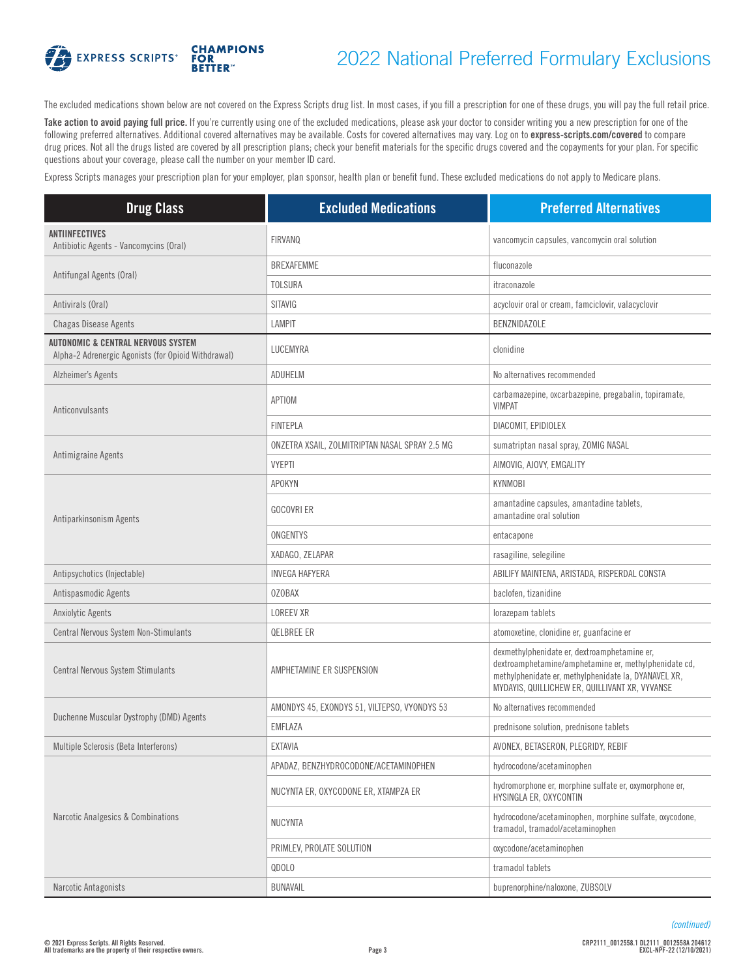

# 2022 National Preferred Formulary Exclusions

The excluded medications shown below are not covered on the Express Scripts drug list. In most cases, if you fill a prescription for one of these drugs, you will pay the full retail price.

Take action to avoid paying full price. If you're currently using one of the excluded medications, please ask your doctor to consider writing you a new prescription for one of the following preferred alternatives. Additional covered alternatives may be available. Costs for covered alternatives may vary. Log on to **[express-scripts.com/covered](https://express-scripts.com/covered)** to compare drug prices. Not all the drugs listed are covered by all prescription plans; check your benefit materials for the specific drugs covered and the copayments for your plan. For specific questions about your coverage, please call the number on your member ID card.

Express Scripts manages your prescription plan for your employer, plan sponsor, health plan or benefit fund. These excluded medications do not apply to Medicare plans.

| <b>Drug Class</b>                                                                                    | <b>Excluded Medications</b>                    | <b>Preferred Alternatives</b>                                                                                                                                                                                   |
|------------------------------------------------------------------------------------------------------|------------------------------------------------|-----------------------------------------------------------------------------------------------------------------------------------------------------------------------------------------------------------------|
| <b>ANTIINFECTIVES</b><br>Antibiotic Agents - Vancomycins (Oral)                                      | <b>FIRVANQ</b>                                 | vancomycin capsules, vancomycin oral solution                                                                                                                                                                   |
|                                                                                                      | <b>BREXAFEMME</b>                              | fluconazole                                                                                                                                                                                                     |
| Antifungal Agents (Oral)                                                                             | <b>TOLSURA</b>                                 | itraconazole                                                                                                                                                                                                    |
| Antivirals (Oral)                                                                                    | <b>SITAVIG</b>                                 | acyclovir oral or cream, famciclovir, valacyclovir                                                                                                                                                              |
| <b>Chagas Disease Agents</b>                                                                         | <b>LAMPIT</b>                                  | BENZNIDAZOLE                                                                                                                                                                                                    |
| <b>AUTONOMIC &amp; CENTRAL NERVOUS SYSTEM</b><br>Alpha-2 Adrenergic Agonists (for Opioid Withdrawal) | LUCEMYRA                                       | clonidine                                                                                                                                                                                                       |
| Alzheimer's Agents                                                                                   | ADUHELM                                        | No alternatives recommended                                                                                                                                                                                     |
| Anticonvulsants                                                                                      | APTIOM                                         | carbamazepine, oxcarbazepine, pregabalin, topiramate,<br><b>VIMPAT</b>                                                                                                                                          |
|                                                                                                      | <b>FINTEPLA</b>                                | DIACOMIT, EPIDIOLEX                                                                                                                                                                                             |
|                                                                                                      | ONZETRA XSAIL, ZOLMITRIPTAN NASAL SPRAY 2.5 MG | sumatriptan nasal spray, ZOMIG NASAL                                                                                                                                                                            |
| Antimigraine Agents                                                                                  | <b>VYEPTI</b>                                  | AIMOVIG, AJOVY, EMGALITY                                                                                                                                                                                        |
|                                                                                                      | <b>APOKYN</b>                                  | <b>KYNMOBI</b>                                                                                                                                                                                                  |
| Antiparkinsonism Agents                                                                              | <b>GOCOVRI ER</b>                              | amantadine capsules, amantadine tablets,<br>amantadine oral solution                                                                                                                                            |
|                                                                                                      | ONGENTYS                                       | entacapone                                                                                                                                                                                                      |
|                                                                                                      | XADAGO, ZELAPAR                                | rasagiline, selegiline                                                                                                                                                                                          |
| Antipsychotics (Injectable)                                                                          | INVEGA HAFYERA                                 | ABILIFY MAINTENA, ARISTADA, RISPERDAL CONSTA                                                                                                                                                                    |
| Antispasmodic Agents                                                                                 | <b>OZOBAX</b>                                  | baclofen, tizanidine                                                                                                                                                                                            |
| Anxiolytic Agents                                                                                    | <b>LOREEV XR</b>                               | lorazepam tablets                                                                                                                                                                                               |
| Central Nervous System Non-Stimulants                                                                | <b>QELBREE ER</b>                              | atomoxetine, clonidine er, guanfacine er                                                                                                                                                                        |
| Central Nervous System Stimulants                                                                    | AMPHETAMINE ER SUSPENSION                      | dexmethylphenidate er, dextroamphetamine er,<br>dextroamphetamine/amphetamine er, methylphenidate cd,<br>methylphenidate er, methylphenidate la, DYANAVEL XR,<br>MYDAYIS, QUILLICHEW ER, QUILLIVANT XR, VYVANSE |
| Duchenne Muscular Dystrophy (DMD) Agents                                                             | AMONDYS 45, EXONDYS 51, VILTEPSO, VYONDYS 53   | No alternatives recommended                                                                                                                                                                                     |
|                                                                                                      | EMFLAZA                                        | prednisone solution, prednisone tablets                                                                                                                                                                         |
| Multiple Sclerosis (Beta Interferons)                                                                | <b>EXTAVIA</b>                                 | AVONEX, BETASERON, PLEGRIDY, REBIF                                                                                                                                                                              |
|                                                                                                      | APADAZ, BENZHYDROCODONE/ACETAMINOPHEN          | hydrocodone/acetaminophen                                                                                                                                                                                       |
| Narcotic Analgesics & Combinations                                                                   | NUCYNTA ER, OXYCODONE ER, XTAMPZA ER           | hydromorphone er, morphine sulfate er, oxymorphone er,<br>HYSINGLA ER, OXYCONTIN                                                                                                                                |
|                                                                                                      | NUCYNTA                                        | hydrocodone/acetaminophen, morphine sulfate, oxycodone,<br>tramadol, tramadol/acetaminophen                                                                                                                     |
|                                                                                                      | PRIMLEV, PROLATE SOLUTION                      | oxycodone/acetaminophen                                                                                                                                                                                         |
|                                                                                                      | QDOLO                                          | tramadol tablets                                                                                                                                                                                                |
| Narcotic Antagonists                                                                                 | BUNAVAIL                                       | buprenorphine/naloxone, ZUBSOLV                                                                                                                                                                                 |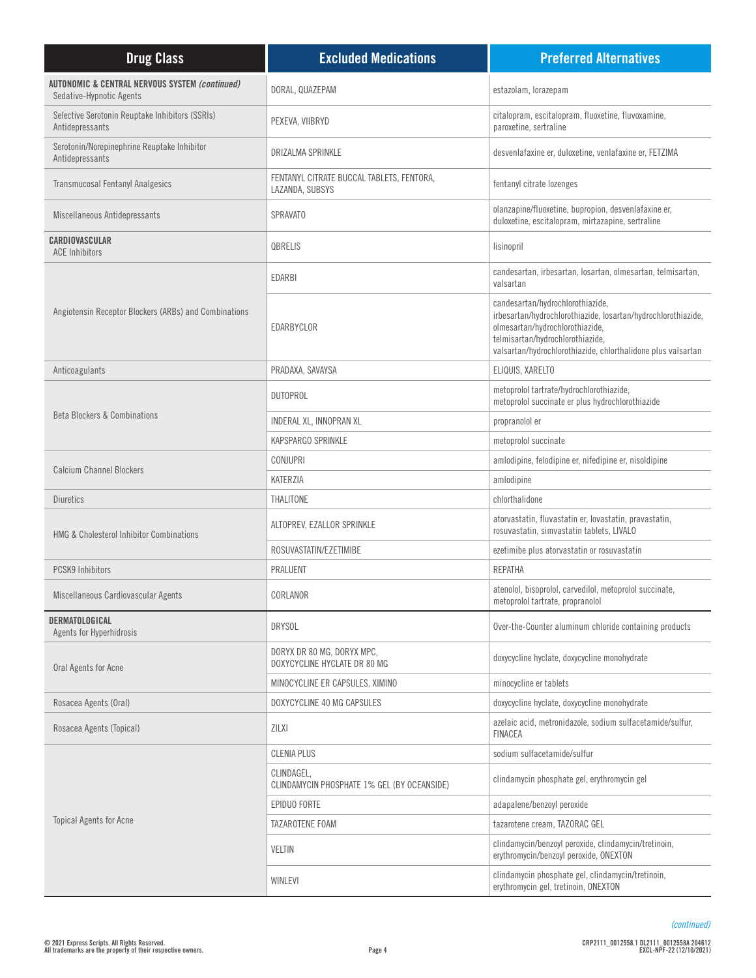| <b>Drug Class</b>                                                                     | <b>Excluded Medications</b>                                  | <b>Preferred Alternatives</b>                                                                                                                                                                                                            |
|---------------------------------------------------------------------------------------|--------------------------------------------------------------|------------------------------------------------------------------------------------------------------------------------------------------------------------------------------------------------------------------------------------------|
| <b>AUTONOMIC &amp; CENTRAL NERVOUS SYSTEM (continued)</b><br>Sedative-Hypnotic Agents | DORAL, QUAZEPAM                                              | estazolam, lorazepam                                                                                                                                                                                                                     |
| Selective Serotonin Reuptake Inhibitors (SSRIs)<br>Antidepressants                    | PEXEVA, VIIBRYD                                              | citalopram, escitalopram, fluoxetine, fluvoxamine,<br>paroxetine, sertraline                                                                                                                                                             |
| Serotonin/Norepinephrine Reuptake Inhibitor<br>Antidepressants                        | DRIZALMA SPRINKLE                                            | desvenlafaxine er, duloxetine, venlafaxine er, FETZIMA                                                                                                                                                                                   |
| <b>Transmucosal Fentanyl Analgesics</b>                                               | FENTANYL CITRATE BUCCAL TABLETS, FENTORA,<br>LAZANDA, SUBSYS | fentanyl citrate lozenges                                                                                                                                                                                                                |
| Miscellaneous Antidepressants                                                         | <b>SPRAVATO</b>                                              | olanzapine/fluoxetine, bupropion, desvenlafaxine er,<br>duloxetine, escitalopram, mirtazapine, sertraline                                                                                                                                |
| CARDIOVASCULAR<br><b>ACE Inhibitors</b>                                               | QBRELIS                                                      | lisinopril                                                                                                                                                                                                                               |
|                                                                                       | <b>EDARBI</b>                                                | candesartan, irbesartan, losartan, olmesartan, telmisartan,<br>valsartan                                                                                                                                                                 |
| Angiotensin Receptor Blockers (ARBs) and Combinations                                 | EDARBYCLOR                                                   | candesartan/hydrochlorothiazide,<br>irbesartan/hydrochlorothiazide, losartan/hydrochlorothiazide,<br>olmesartan/hydrochlorothiazide,<br>telmisartan/hydrochlorothiazide,<br>valsartan/hydrochlorothiazide, chlorthalidone plus valsartan |
| Anticoagulants                                                                        | PRADAXA, SAVAYSA                                             | ELIQUIS, XARELTO                                                                                                                                                                                                                         |
|                                                                                       | <b>DUTOPROL</b>                                              | metoprolol tartrate/hydrochlorothiazide,<br>metoprolol succinate er plus hydrochlorothiazide                                                                                                                                             |
| <b>Beta Blockers &amp; Combinations</b>                                               | INDERAL XL, INNOPRAN XL                                      | propranolol er                                                                                                                                                                                                                           |
|                                                                                       | KAPSPARGO SPRINKLE                                           | metoprolol succinate                                                                                                                                                                                                                     |
|                                                                                       | <b>CONJUPRI</b>                                              | amlodipine, felodipine er, nifedipine er, nisoldipine                                                                                                                                                                                    |
| <b>Calcium Channel Blockers</b>                                                       | KATERZIA                                                     | amlodipine                                                                                                                                                                                                                               |
| Diuretics                                                                             | THALITONE                                                    | chlorthalidone                                                                                                                                                                                                                           |
| <b>HMG &amp; Cholesterol Inhibitor Combinations</b>                                   | ALTOPREV, EZALLOR SPRINKLE                                   | atorvastatin, fluvastatin er, lovastatin, pravastatin,<br>rosuvastatin, simvastatin tablets, LIVALO                                                                                                                                      |
|                                                                                       | ROSUVASTATIN/EZETIMIBE                                       | ezetimibe plus atorvastatin or rosuvastatin                                                                                                                                                                                              |
| <b>PCSK9 Inhibitors</b>                                                               | PRALUENT                                                     | <b>REPATHA</b>                                                                                                                                                                                                                           |
| Miscellaneous Cardiovascular Agents                                                   | CORLANOR                                                     | atenolol, bisoprolol, carvedilol, metoprolol succinate,<br>metoprolol tartrate, propranolol                                                                                                                                              |
| DERMATOLOGICAL<br>Agents for Hyperhidrosis                                            | <b>DRYSOL</b>                                                | Over-the-Counter aluminum chloride containing products                                                                                                                                                                                   |
| Oral Agents for Acne                                                                  | DORYX DR 80 MG, DORYX MPC,<br>DOXYCYCLINE HYCLATE DR 80 MG   | doxycycline hyclate, doxycycline monohydrate                                                                                                                                                                                             |
|                                                                                       | MINOCYCLINE ER CAPSULES, XIMINO                              | minocycline er tablets                                                                                                                                                                                                                   |
| Rosacea Agents (Oral)                                                                 | DOXYCYCLINE 40 MG CAPSULES                                   | doxycycline hyclate, doxycycline monohydrate                                                                                                                                                                                             |
| Rosacea Agents (Topical)                                                              | ZILXI                                                        | azelaic acid, metronidazole, sodium sulfacetamide/sulfur,<br><b>FINACEA</b>                                                                                                                                                              |
|                                                                                       | <b>CLENIA PLUS</b>                                           | sodium sulfacetamide/sulfur                                                                                                                                                                                                              |
|                                                                                       | CLINDAGEL,<br>CLINDAMYCIN PHOSPHATE 1% GEL (BY OCEANSIDE)    | clindamycin phosphate gel, erythromycin gel                                                                                                                                                                                              |
|                                                                                       | EPIDUO FORTE                                                 | adapalene/benzoyl peroxide                                                                                                                                                                                                               |
| <b>Topical Agents for Acne</b>                                                        | TAZAROTENE FOAM                                              | tazarotene cream, TAZORAC GEL                                                                                                                                                                                                            |
|                                                                                       | VELTIN                                                       | clindamycin/benzoyl peroxide, clindamycin/tretinoin,<br>erythromycin/benzoyl peroxide, ONEXTON                                                                                                                                           |
|                                                                                       | WINLEVI                                                      | clindamycin phosphate gel, clindamycin/tretinoin,<br>erythromycin gel, tretinoin, ONEXTON                                                                                                                                                |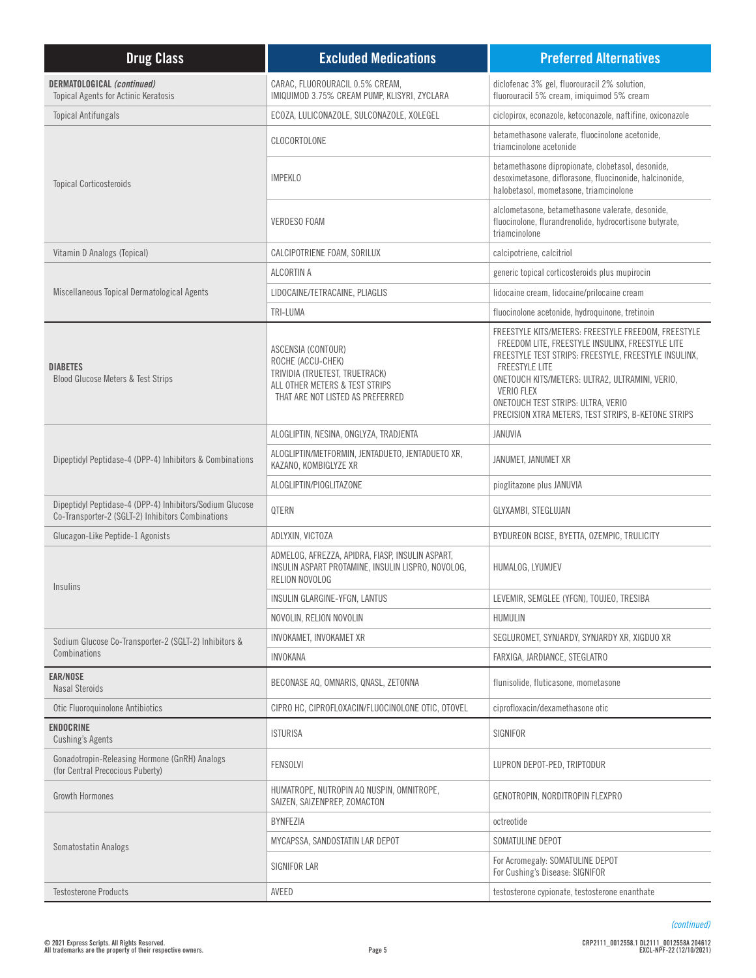| <b>Drug Class</b>                                                                                             | <b>Excluded Medications</b>                                                                                                                     | <b>Preferred Alternatives</b>                                                                                                                                                                                                                                                                                                                                  |
|---------------------------------------------------------------------------------------------------------------|-------------------------------------------------------------------------------------------------------------------------------------------------|----------------------------------------------------------------------------------------------------------------------------------------------------------------------------------------------------------------------------------------------------------------------------------------------------------------------------------------------------------------|
| <b>DERMATOLOGICAL (continued)</b><br>Topical Agents for Actinic Keratosis                                     | CARAC, FLUOROURACIL 0.5% CREAM,<br>IMIQUIMOD 3.75% CREAM PUMP, KLISYRI, ZYCLARA                                                                 | diclofenac 3% gel, fluorouracil 2% solution,<br>fluorouracil 5% cream, imiquimod 5% cream                                                                                                                                                                                                                                                                      |
| <b>Topical Antifungals</b>                                                                                    | ECOZA, LULICONAZOLE, SULCONAZOLE, XOLEGEL                                                                                                       | ciclopirox, econazole, ketoconazole, naftifine, oxiconazole                                                                                                                                                                                                                                                                                                    |
|                                                                                                               | CLOCORTOLONE                                                                                                                                    | betamethasone valerate, fluocinolone acetonide,<br>triamcinolone acetonide                                                                                                                                                                                                                                                                                     |
| <b>Topical Corticosteroids</b>                                                                                | <b>IMPEKLO</b>                                                                                                                                  | betamethasone dipropionate, clobetasol, desonide,<br>desoximetasone, diflorasone, fluocinonide, halcinonide,<br>halobetasol, mometasone, triamcinolone                                                                                                                                                                                                         |
|                                                                                                               | <b>VERDESO FOAM</b>                                                                                                                             | alclometasone, betamethasone valerate, desonide,<br>fluocinolone, flurandrenolide, hydrocortisone butyrate,<br>triamcinolone                                                                                                                                                                                                                                   |
| Vitamin D Analogs (Topical)                                                                                   | CALCIPOTRIENE FOAM, SORILUX                                                                                                                     | calcipotriene, calcitriol                                                                                                                                                                                                                                                                                                                                      |
|                                                                                                               | ALCORTIN A                                                                                                                                      | generic topical corticosteroids plus mupirocin                                                                                                                                                                                                                                                                                                                 |
| Miscellaneous Topical Dermatological Agents                                                                   | LIDOCAINE/TETRACAINE, PLIAGLIS                                                                                                                  | lidocaine cream, lidocaine/prilocaine cream                                                                                                                                                                                                                                                                                                                    |
|                                                                                                               | TRI-LUMA                                                                                                                                        | fluocinolone acetonide, hydroquinone, tretinoin                                                                                                                                                                                                                                                                                                                |
| <b>DIABETES</b><br>Blood Glucose Meters & Test Strips                                                         | ASCENSIA (CONTOUR)<br>ROCHE (ACCU-CHEK)<br>TRIVIDIA (TRUETEST, TRUETRACK)<br>ALL OTHER METERS & TEST STRIPS<br>THAT ARE NOT LISTED AS PREFERRED | FREESTYLE KITS/METERS: FREESTYLE FREEDOM, FREESTYLE<br>FREEDOM LITE, FREESTYLE INSULINX, FREESTYLE LITE<br>FREESTYLE TEST STRIPS: FREESTYLE, FREESTYLE INSULINX,<br><b>FREESTYLE LITE</b><br>ONETOUCH KITS/METERS: ULTRA2, ULTRAMINI, VERIO,<br><b>VERIO FLEX</b><br>ONETOUCH TEST STRIPS: ULTRA, VERIO<br>PRECISION XTRA METERS, TEST STRIPS, B-KETONE STRIPS |
|                                                                                                               | ALOGLIPTIN, NESINA, ONGLYZA, TRADJENTA                                                                                                          | JANUVIA                                                                                                                                                                                                                                                                                                                                                        |
| Dipeptidyl Peptidase-4 (DPP-4) Inhibitors & Combinations                                                      | ALOGLIPTIN/METFORMIN, JENTADUETO, JENTADUETO XR,<br>KAZANO, KOMBIGLYZE XR                                                                       | JANUMET, JANUMET XR                                                                                                                                                                                                                                                                                                                                            |
|                                                                                                               | ALOGLIPTIN/PIOGLITAZONE                                                                                                                         | pioglitazone plus JANUVIA                                                                                                                                                                                                                                                                                                                                      |
| Dipeptidyl Peptidase-4 (DPP-4) Inhibitors/Sodium Glucose<br>Co-Transporter-2 (SGLT-2) Inhibitors Combinations | QTERN                                                                                                                                           | GLYXAMBI, STEGLUJAN                                                                                                                                                                                                                                                                                                                                            |
| Glucagon-Like Peptide-1 Agonists                                                                              | ADLYXIN, VICTOZA                                                                                                                                | BYDUREON BCISE, BYETTA, OZEMPIC, TRULICITY                                                                                                                                                                                                                                                                                                                     |
| <b>Insulins</b>                                                                                               | ADMELOG, AFREZZA, APIDRA, FIASP, INSULIN ASPART,<br>INSULIN ASPART PROTAMINE, INSULIN LISPRO, NOVOLOG,<br>RELION NOVOLOG                        | HUMALOG, LYUMJEV                                                                                                                                                                                                                                                                                                                                               |
|                                                                                                               | INSULIN GLARGINE-YFGN, LANTUS                                                                                                                   | LEVEMIR, SEMGLEE (YFGN), TOUJEO, TRESIBA                                                                                                                                                                                                                                                                                                                       |
|                                                                                                               | NOVOLIN, RELION NOVOLIN                                                                                                                         | HUMULIN                                                                                                                                                                                                                                                                                                                                                        |
| Sodium Glucose Co-Transporter-2 (SGLT-2) Inhibitors &                                                         | INVOKAMET, INVOKAMET XR                                                                                                                         | SEGLUROMET, SYNJARDY, SYNJARDY XR, XIGDUO XR                                                                                                                                                                                                                                                                                                                   |
| Combinations                                                                                                  | <b>INVOKANA</b>                                                                                                                                 | FARXIGA, JARDIANCE, STEGLATRO                                                                                                                                                                                                                                                                                                                                  |
| <b>EAR/NOSE</b><br><b>Nasal Steroids</b>                                                                      | BECONASE AQ, OMNARIS, QNASL, ZETONNA                                                                                                            | flunisolide, fluticasone, mometasone                                                                                                                                                                                                                                                                                                                           |
| Otic Fluoroquinolone Antibiotics                                                                              | CIPRO HC, CIPROFLOXACIN/FLUOCINOLONE OTIC, OTOVEL                                                                                               | ciprofloxacin/dexamethasone otic                                                                                                                                                                                                                                                                                                                               |
| <b>ENDOCRINE</b><br><b>Cushing's Agents</b>                                                                   | <b>ISTURISA</b>                                                                                                                                 | SIGNIFOR                                                                                                                                                                                                                                                                                                                                                       |
| Gonadotropin-Releasing Hormone (GnRH) Analogs<br>(for Central Precocious Puberty)                             | FENSOLVI                                                                                                                                        | LUPRON DEPOT-PED, TRIPTODUR                                                                                                                                                                                                                                                                                                                                    |
| <b>Growth Hormones</b>                                                                                        | HUMATROPE, NUTROPIN AQ NUSPIN, OMNITROPE,<br>SAIZEN, SAIZENPREP, ZOMACTON                                                                       | GENOTROPIN, NORDITROPIN FLEXPRO                                                                                                                                                                                                                                                                                                                                |
|                                                                                                               | BYNFEZIA                                                                                                                                        | octreotide                                                                                                                                                                                                                                                                                                                                                     |
| Somatostatin Analogs                                                                                          | MYCAPSSA, SANDOSTATIN LAR DEPOT                                                                                                                 | SOMATULINE DEPOT                                                                                                                                                                                                                                                                                                                                               |
|                                                                                                               | SIGNIFOR LAR                                                                                                                                    | For Acromegaly: SOMATULINE DEPOT<br>For Cushing's Disease: SIGNIFOR                                                                                                                                                                                                                                                                                            |
| <b>Testosterone Products</b>                                                                                  | AVEED                                                                                                                                           | testosterone cypionate, testosterone enanthate                                                                                                                                                                                                                                                                                                                 |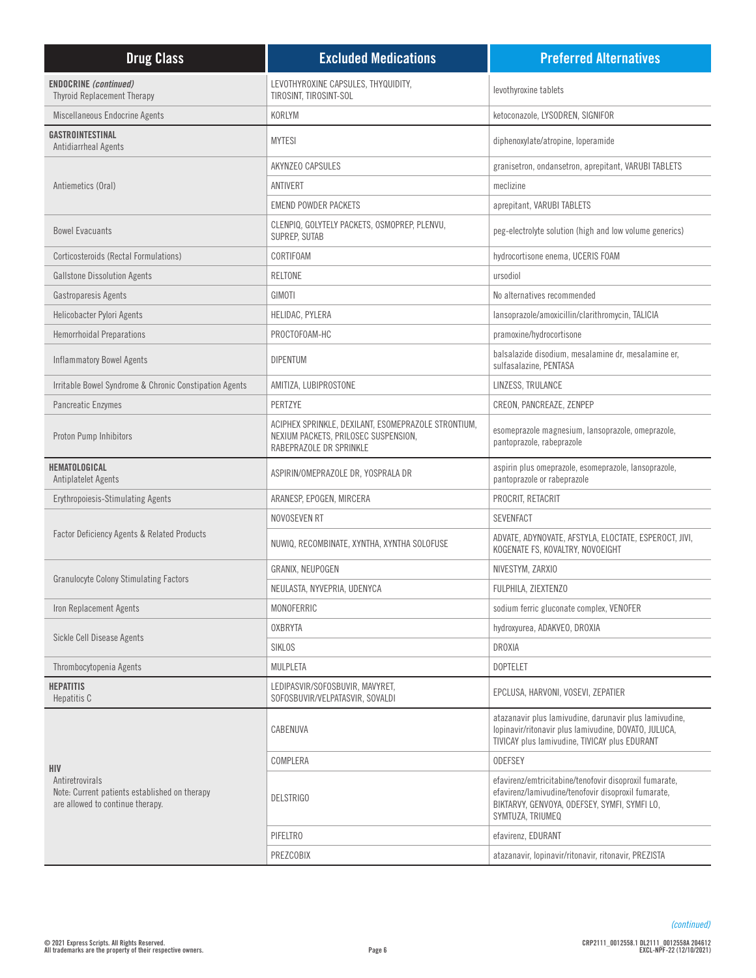| <b>Drug Class</b>                                                                                                  | <b>Excluded Medications</b>                                                                                            | <b>Preferred Alternatives</b>                                                                                                                                                     |
|--------------------------------------------------------------------------------------------------------------------|------------------------------------------------------------------------------------------------------------------------|-----------------------------------------------------------------------------------------------------------------------------------------------------------------------------------|
| <b>ENDOCRINE</b> (continued)<br><b>Thyroid Replacement Therapy</b>                                                 | LEVOTHYROXINE CAPSULES, THYQUIDITY,<br>TIROSINT, TIROSINT-SOL                                                          | levothyroxine tablets                                                                                                                                                             |
| Miscellaneous Endocrine Agents                                                                                     | KORLYM                                                                                                                 | ketoconazole, LYSODREN, SIGNIFOR                                                                                                                                                  |
| GASTROINTESTINAL<br>Antidiarrheal Agents                                                                           | <b>MYTESI</b>                                                                                                          | diphenoxylate/atropine, loperamide                                                                                                                                                |
|                                                                                                                    | <b>AKYNZEO CAPSULES</b>                                                                                                | granisetron, ondansetron, aprepitant, VARUBI TABLETS                                                                                                                              |
| Antiemetics (Oral)                                                                                                 | ANTIVERT                                                                                                               | meclizine                                                                                                                                                                         |
|                                                                                                                    | <b>EMEND POWDER PACKETS</b>                                                                                            | aprepitant, VARUBI TABLETS                                                                                                                                                        |
| <b>Bowel Evacuants</b>                                                                                             | CLENPIQ, GOLYTELY PACKETS, OSMOPREP, PLENVU,<br>SUPREP, SUTAB                                                          | peg-electrolyte solution (high and low volume generics)                                                                                                                           |
| Corticosteroids (Rectal Formulations)                                                                              | CORTIFOAM                                                                                                              | hydrocortisone enema, UCERIS FOAM                                                                                                                                                 |
| <b>Gallstone Dissolution Agents</b>                                                                                | RELTONE                                                                                                                | ursodiol                                                                                                                                                                          |
| Gastroparesis Agents                                                                                               | GIMOTI                                                                                                                 | No alternatives recommended                                                                                                                                                       |
| Helicobacter Pylori Agents                                                                                         | HELIDAC, PYLERA                                                                                                        | lansoprazole/amoxicillin/clarithromycin, TALICIA                                                                                                                                  |
| <b>Hemorrhoidal Preparations</b>                                                                                   | PROCTOFOAM-HC                                                                                                          | pramoxine/hydrocortisone                                                                                                                                                          |
| <b>Inflammatory Bowel Agents</b>                                                                                   | <b>DIPENTUM</b>                                                                                                        | balsalazide disodium, mesalamine dr, mesalamine er,<br>sulfasalazine, PENTASA                                                                                                     |
| Irritable Bowel Syndrome & Chronic Constipation Agents                                                             | AMITIZA, LUBIPROSTONE                                                                                                  | LINZESS, TRULANCE                                                                                                                                                                 |
| Pancreatic Enzymes                                                                                                 | PERTZYE                                                                                                                | CREON, PANCREAZE, ZENPEP                                                                                                                                                          |
| Proton Pump Inhibitors                                                                                             | ACIPHEX SPRINKLE, DEXILANT, ESOMEPRAZOLE STRONTIUM,<br>NEXIUM PACKETS, PRILOSEC SUSPENSION,<br>RABEPRAZOLE DR SPRINKLE | esomeprazole magnesium, lansoprazole, omeprazole,<br>pantoprazole, rabeprazole                                                                                                    |
| HEMATOLOGICAL<br>Antiplatelet Agents                                                                               | ASPIRIN/OMEPRAZOLE DR, YOSPRALA DR                                                                                     | aspirin plus omeprazole, esomeprazole, lansoprazole,<br>pantoprazole or rabeprazole                                                                                               |
| <b>Erythropoiesis-Stimulating Agents</b>                                                                           | ARANESP, EPOGEN, MIRCERA                                                                                               | PROCRIT, RETACRIT                                                                                                                                                                 |
|                                                                                                                    | NOVOSEVEN RT                                                                                                           | <b>SEVENFACT</b>                                                                                                                                                                  |
| <b>Factor Deficiency Agents &amp; Related Products</b>                                                             | NUWIQ, RECOMBINATE, XYNTHA, XYNTHA SOLOFUSE                                                                            | ADVATE, ADYNOVATE, AFSTYLA, ELOCTATE, ESPEROCT, JIVI,<br>KOGENATE FS, KOVALTRY, NOVOEIGHT                                                                                         |
|                                                                                                                    | GRANIX, NEUPOGEN                                                                                                       | NIVESTYM, ZARXIO                                                                                                                                                                  |
| <b>Granulocyte Colony Stimulating Factors</b>                                                                      | NEULASTA, NYVEPRIA, UDENYCA                                                                                            | FULPHILA, ZIEXTENZO                                                                                                                                                               |
| Iron Replacement Agents                                                                                            | MONOFERRIC                                                                                                             | sodium ferric gluconate complex, VENOFER                                                                                                                                          |
|                                                                                                                    | <b>OXBRYTA</b>                                                                                                         | hydroxyurea, ADAKVEO, DROXIA                                                                                                                                                      |
| Sickle Cell Disease Agents                                                                                         | SIKLOS                                                                                                                 | <b>DROXIA</b>                                                                                                                                                                     |
| Thrombocytopenia Agents                                                                                            | MULPLETA                                                                                                               | <b>DOPTELET</b>                                                                                                                                                                   |
| <b>HEPATITIS</b><br>Hepatitis C                                                                                    | LEDIPASVIR/SOFOSBUVIR, MAVYRET,<br>SOFOSBUVIR/VELPATASVIR, SOVALDI                                                     | EPCLUSA, HARVONI, VOSEVI, ZEPATIER                                                                                                                                                |
| <b>HIV</b><br>Antiretrovirals<br>Note: Current patients established on therapy<br>are allowed to continue therapy. | CABENUVA                                                                                                               | atazanavir plus lamivudine, darunavir plus lamivudine,<br>lopinavir/ritonavir plus lamivudine, DOVATO, JULUCA,<br>TIVICAY plus lamivudine. TIVICAY plus EDURANT                   |
|                                                                                                                    | COMPLERA                                                                                                               | <b>ODEFSEY</b>                                                                                                                                                                    |
|                                                                                                                    | <b>DELSTRIGO</b>                                                                                                       | efavirenz/emtricitabine/tenofovir disoproxil fumarate,<br>efavirenz/lamivudine/tenofovir disoproxil fumarate,<br>BIKTARVY, GENVOYA, ODEFSEY, SYMFI, SYMFI LO,<br>SYMTUZA, TRIUMEQ |
|                                                                                                                    | PIFELTRO                                                                                                               | efavirenz, EDURANT                                                                                                                                                                |
|                                                                                                                    | PREZCOBIX                                                                                                              | atazanavir, lopinavir/ritonavir, ritonavir, PREZISTA                                                                                                                              |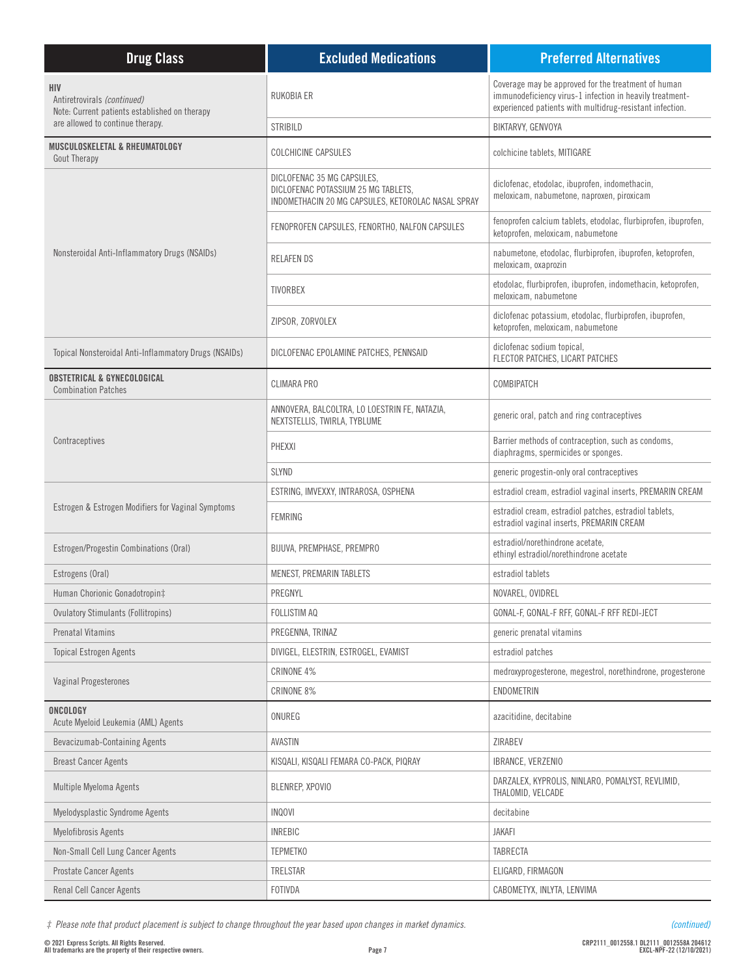| <b>Drug Class</b>                                                                   | <b>Excluded Medications</b>                                                                                             | <b>Preferred Alternatives</b>                                                                                                                                               |
|-------------------------------------------------------------------------------------|-------------------------------------------------------------------------------------------------------------------------|-----------------------------------------------------------------------------------------------------------------------------------------------------------------------------|
| HIV<br>Antiretrovirals (continued)<br>Note: Current patients established on therapy | RUKOBIA ER                                                                                                              | Coverage may be approved for the treatment of human<br>immunodeficiency virus-1 infection in heavily treatment-<br>experienced patients with multidrug-resistant infection. |
| are allowed to continue therapy.                                                    | <b>STRIBILD</b>                                                                                                         | BIKTARVY, GENVOYA                                                                                                                                                           |
| MUSCULOSKELETAL & RHEUMATOLOGY<br><b>Gout Therapy</b>                               | <b>COLCHICINE CAPSULES</b>                                                                                              | colchicine tablets, MITIGARE                                                                                                                                                |
|                                                                                     | DICLOFENAC 35 MG CAPSULES,<br>DICLOFENAC POTASSIUM 25 MG TABLETS,<br>INDOMETHACIN 20 MG CAPSULES, KETOROLAC NASAL SPRAY | diclofenac, etodolac, ibuprofen, indomethacin,<br>meloxicam, nabumetone, naproxen, piroxicam                                                                                |
|                                                                                     | FENOPROFEN CAPSULES, FENORTHO, NALFON CAPSULES                                                                          | fenoprofen calcium tablets, etodolac, flurbiprofen, ibuprofen,<br>ketoprofen, meloxicam, nabumetone                                                                         |
| Nonsteroidal Anti-Inflammatory Drugs (NSAIDs)                                       | <b>RELAFENDS</b>                                                                                                        | nabumetone, etodolac, flurbiprofen, ibuprofen, ketoprofen,<br>meloxicam, oxaprozin                                                                                          |
|                                                                                     | <b>TIVORBEX</b>                                                                                                         | etodolac, flurbiprofen, ibuprofen, indomethacin, ketoprofen,<br>meloxicam, nabumetone                                                                                       |
|                                                                                     | ZIPSOR, ZORVOLEX                                                                                                        | diclofenac potassium, etodolac, flurbiprofen, ibuprofen,<br>ketoprofen, meloxicam, nabumetone                                                                               |
| Topical Nonsteroidal Anti-Inflammatory Drugs (NSAIDs)                               | DICLOFENAC EPOLAMINE PATCHES, PENNSAID                                                                                  | diclofenac sodium topical,<br>FLECTOR PATCHES, LICART PATCHES                                                                                                               |
| <b>OBSTETRICAL &amp; GYNECOLOGICAL</b><br><b>Combination Patches</b>                | <b>CLIMARA PRO</b>                                                                                                      | COMBIPATCH                                                                                                                                                                  |
|                                                                                     | ANNOVERA, BALCOLTRA, LO LOESTRIN FE, NATAZIA,<br>NEXTSTELLIS, TWIRLA, TYBLUME                                           | generic oral, patch and ring contraceptives                                                                                                                                 |
| Contraceptives                                                                      | PHEXXI                                                                                                                  | Barrier methods of contraception, such as condoms,<br>diaphragms, spermicides or sponges.                                                                                   |
|                                                                                     | <b>SLYND</b>                                                                                                            | generic progestin-only oral contraceptives                                                                                                                                  |
|                                                                                     | ESTRING, IMVEXXY, INTRAROSA, OSPHENA                                                                                    | estradiol cream, estradiol vaginal inserts, PREMARIN CREAM                                                                                                                  |
| Estrogen & Estrogen Modifiers for Vaginal Symptoms                                  | <b>FEMRING</b>                                                                                                          | estradiol cream, estradiol patches, estradiol tablets,<br>estradiol vaginal inserts, PREMARIN CREAM                                                                         |
| Estrogen/Progestin Combinations (Oral)                                              | BIJUVA, PREMPHASE, PREMPRO                                                                                              | estradiol/norethindrone acetate,<br>ethinyl estradiol/norethindrone acetate                                                                                                 |
| Estrogens (Oral)                                                                    | MENEST, PREMARIN TABLETS                                                                                                | estradiol tablets                                                                                                                                                           |
| Human Chorionic Gonadotropin‡                                                       | PREGNYL                                                                                                                 | NOVAREL, OVIDREL                                                                                                                                                            |
| <b>Ovulatory Stimulants (Follitropins)</b>                                          | FOLLISTIM AQ                                                                                                            | GONAL-F, GONAL-F RFF, GONAL-F RFF REDI-JECT                                                                                                                                 |
| <b>Prenatal Vitamins</b>                                                            | PREGENNA, TRINAZ                                                                                                        | generic prenatal vitamins                                                                                                                                                   |
| <b>Topical Estrogen Agents</b>                                                      | DIVIGEL, ELESTRIN, ESTROGEL, EVAMIST                                                                                    | estradiol patches                                                                                                                                                           |
| <b>Vaginal Progesterones</b>                                                        | CRINONE 4%                                                                                                              | medroxyprogesterone, megestrol, norethindrone, progesterone                                                                                                                 |
|                                                                                     | CRINONE 8%                                                                                                              | ENDOMETRIN                                                                                                                                                                  |
| ONCOLOGY<br>Acute Myeloid Leukemia (AML) Agents                                     | ONUREG                                                                                                                  | azacitidine, decitabine                                                                                                                                                     |
| Bevacizumab-Containing Agents                                                       | AVASTIN                                                                                                                 | ZIRABEV                                                                                                                                                                     |
| <b>Breast Cancer Agents</b>                                                         | KISQALI, KISQALI FEMARA CO-PACK, PIQRAY                                                                                 | IBRANCE, VERZENIO                                                                                                                                                           |
| Multiple Myeloma Agents                                                             | BLENREP, XPOVIO                                                                                                         | DARZALEX, KYPROLIS, NINLARO, POMALYST, REVLIMID,<br>THALOMID, VELCADE                                                                                                       |
| Myelodysplastic Syndrome Agents                                                     | <b>INQOVI</b>                                                                                                           | decitabine                                                                                                                                                                  |
| Myelofibrosis Agents                                                                | <b>INREBIC</b>                                                                                                          | <b>JAKAFI</b>                                                                                                                                                               |
| Non-Small Cell Lung Cancer Agents                                                   | <b>TEPMETKO</b>                                                                                                         | TABRECTA                                                                                                                                                                    |
| <b>Prostate Cancer Agents</b>                                                       | TRELSTAR                                                                                                                | ELIGARD, FIRMAGON                                                                                                                                                           |
| Renal Cell Cancer Agents                                                            | FOTIVDA                                                                                                                 | CABOMETYX, INLYTA, LENVIMA                                                                                                                                                  |

*‡ Please note that product placement is subject to change throughout the year based upon changes in market dynamics.*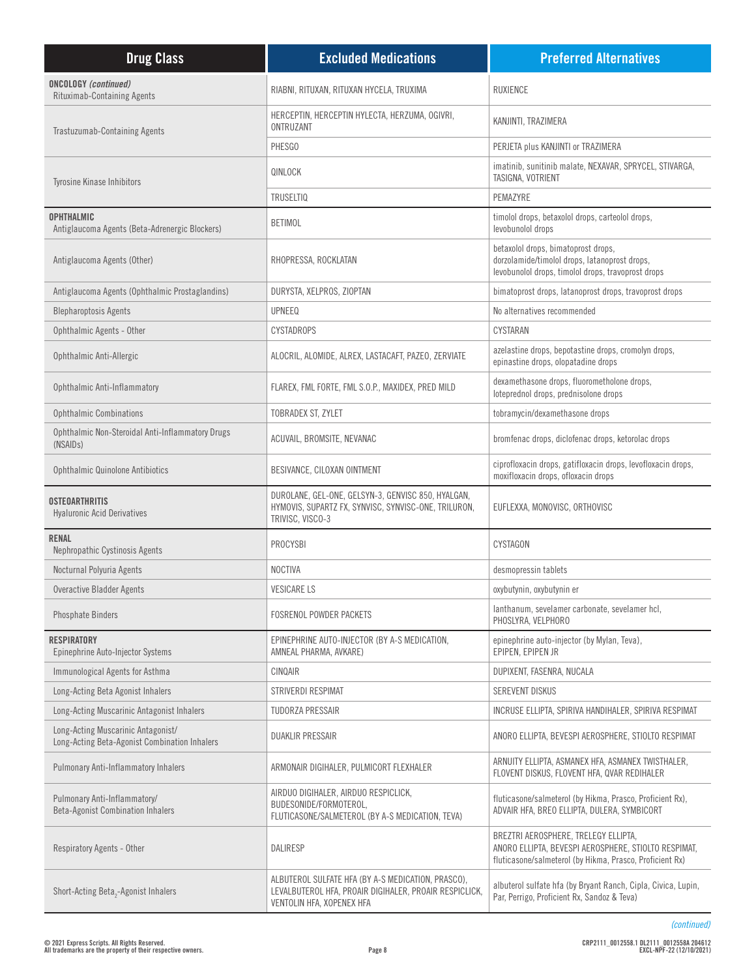| <b>Drug Class</b>                                                                   | <b>Excluded Medications</b>                                                                                                               | <b>Preferred Alternatives</b>                                                                                                                            |
|-------------------------------------------------------------------------------------|-------------------------------------------------------------------------------------------------------------------------------------------|----------------------------------------------------------------------------------------------------------------------------------------------------------|
| <b>ONCOLOGY</b> (continued)<br><b>Rituximab-Containing Agents</b>                   | RIABNI, RITUXAN, RITUXAN HYCELA, TRUXIMA                                                                                                  | <b>RUXIENCE</b>                                                                                                                                          |
| Trastuzumab-Containing Agents                                                       | HERCEPTIN, HERCEPTIN HYLECTA, HERZUMA, OGIVRI,<br>ONTRUZANT                                                                               | KANJINTI, TRAZIMERA                                                                                                                                      |
|                                                                                     | PHESGO                                                                                                                                    | PERJETA plus KANJINTI or TRAZIMERA                                                                                                                       |
| <b>Tyrosine Kinase Inhibitors</b>                                                   | QINLOCK                                                                                                                                   | imatinib, sunitinib malate, NEXAVAR, SPRYCEL, STIVARGA,<br>TASIGNA, VOTRIENT                                                                             |
|                                                                                     | <b>TRUSELTIQ</b>                                                                                                                          | PEMAZYRE                                                                                                                                                 |
| <b>OPHTHALMIC</b><br>Antiglaucoma Agents (Beta-Adrenergic Blockers)                 | <b>BETIMOL</b>                                                                                                                            | timolol drops, betaxolol drops, carteolol drops,<br>levobunolol drops                                                                                    |
| Antiglaucoma Agents (Other)                                                         | RHOPRESSA, ROCKLATAN                                                                                                                      | betaxolol drops, bimatoprost drops,<br>dorzolamide/timolol drops, latanoprost drops,<br>levobunolol drops, timolol drops, travoprost drops               |
| Antiglaucoma Agents (Ophthalmic Prostaglandins)                                     | DURYSTA, XELPROS, ZIOPTAN                                                                                                                 | bimatoprost drops, latanoprost drops, travoprost drops                                                                                                   |
| <b>Blepharoptosis Agents</b>                                                        | <b>UPNEEQ</b>                                                                                                                             | No alternatives recommended                                                                                                                              |
| Ophthalmic Agents - Other                                                           | <b>CYSTADROPS</b>                                                                                                                         | CYSTARAN                                                                                                                                                 |
| Ophthalmic Anti-Allergic                                                            | ALOCRIL, ALOMIDE, ALREX, LASTACAFT, PAZEO, ZERVIATE                                                                                       | azelastine drops, bepotastine drops, cromolyn drops,<br>epinastine drops, olopatadine drops                                                              |
| Ophthalmic Anti-Inflammatory                                                        | FLAREX, FML FORTE, FML S.O.P., MAXIDEX, PRED MILD                                                                                         | dexamethasone drops, fluorometholone drops,<br>loteprednol drops, prednisolone drops                                                                     |
| <b>Ophthalmic Combinations</b>                                                      | TOBRADEX ST, ZYLET                                                                                                                        | tobramycin/dexamethasone drops                                                                                                                           |
| Ophthalmic Non-Steroidal Anti-Inflammatory Drugs<br>(NSAID <sub>s</sub> )           | ACUVAIL, BROMSITE, NEVANAC                                                                                                                | bromfenac drops, diclofenac drops, ketorolac drops                                                                                                       |
| <b>Ophthalmic Quinolone Antibiotics</b>                                             | BESIVANCE, CILOXAN OINTMENT                                                                                                               | ciprofloxacin drops, gatifloxacin drops, levofloxacin drops,<br>moxifloxacin drops, ofloxacin drops                                                      |
| <b>OSTEOARTHRITIS</b><br><b>Hyaluronic Acid Derivatives</b>                         | DUROLANE, GEL-ONE, GELSYN-3, GENVISC 850, HYALGAN,<br>HYMOVIS, SUPARTZ FX, SYNVISC, SYNVISC-ONE, TRILURON,<br>TRIVISC, VISCO-3            | EUFLEXXA, MONOVISC, ORTHOVISC                                                                                                                            |
| <b>RENAL</b><br>Nephropathic Cystinosis Agents                                      | PROCYSBI                                                                                                                                  | CYSTAGON                                                                                                                                                 |
| Nocturnal Polyuria Agents                                                           | <b>NOCTIVA</b>                                                                                                                            | desmopressin tablets                                                                                                                                     |
| Overactive Bladder Agents                                                           | <b>VESICARE LS</b>                                                                                                                        | oxybutynin, oxybutynin er                                                                                                                                |
| <b>Phosphate Binders</b>                                                            | <b>FOSRENOL POWDER PACKETS</b>                                                                                                            | lanthanum, sevelamer carbonate, sevelamer hcl,<br>PHOSLYRA, VELPHORO                                                                                     |
| <b>RESPIRATORY</b><br>Epinephrine Auto-Injector Systems                             | EPINEPHRINE AUTO-INJECTOR (BY A-S MEDICATION,<br>AMNEAL PHARMA, AVKARE)                                                                   | epinephrine auto-injector (by Mylan, Teva),<br>EPIPEN, EPIPEN JR                                                                                         |
| Immunological Agents for Asthma                                                     | CINQAIR                                                                                                                                   | DUPIXENT, FASENRA, NUCALA                                                                                                                                |
| Long-Acting Beta Agonist Inhalers                                                   | STRIVERDI RESPIMAT                                                                                                                        | SEREVENT DISKUS                                                                                                                                          |
| Long-Acting Muscarinic Antagonist Inhalers                                          | TUDORZA PRESSAIR                                                                                                                          | INCRUSE ELLIPTA, SPIRIVA HANDIHALER, SPIRIVA RESPIMAT                                                                                                    |
| Long-Acting Muscarinic Antagonist/<br>Long-Acting Beta-Agonist Combination Inhalers | <b>DUAKLIR PRESSAIR</b>                                                                                                                   | ANORO ELLIPTA, BEVESPI AEROSPHERE, STIOLTO RESPIMAT                                                                                                      |
| Pulmonary Anti-Inflammatory Inhalers                                                | ARMONAIR DIGIHALER, PULMICORT FLEXHALER                                                                                                   | ARNUITY ELLIPTA, ASMANEX HFA, ASMANEX TWISTHALER,<br>FLOVENT DISKUS, FLOVENT HFA, QVAR REDIHALER                                                         |
| Pulmonary Anti-Inflammatory/<br><b>Beta-Agonist Combination Inhalers</b>            | AIRDUO DIGIHALER, AIRDUO RESPICLICK,<br>BUDESONIDE/FORMOTEROL,<br>FLUTICASONE/SALMETEROL (BY A-S MEDICATION, TEVA)                        | fluticasone/salmeterol (by Hikma, Prasco, Proficient Rx),<br>ADVAIR HFA, BREO ELLIPTA, DULERA, SYMBICORT                                                 |
| Respiratory Agents - Other                                                          | DALIRESP                                                                                                                                  | BREZTRI AEROSPHERE, TRELEGY ELLIPTA,<br>ANORO ELLIPTA, BEVESPI AEROSPHERE, STIOLTO RESPIMAT,<br>fluticasone/salmeterol (by Hikma, Prasco, Proficient Rx) |
| Short-Acting Beta <sub>2</sub> -Agonist Inhalers                                    | ALBUTEROL SULFATE HFA (BY A-S MEDICATION, PRASCO),<br>LEVALBUTEROL HFA, PROAIR DIGIHALER, PROAIR RESPICLICK,<br>VENTOLIN HFA, XOPENEX HFA | albuterol sulfate hfa (by Bryant Ranch, Cipla, Civica, Lupin,<br>Par, Perrigo, Proficient Rx, Sandoz & Teva)                                             |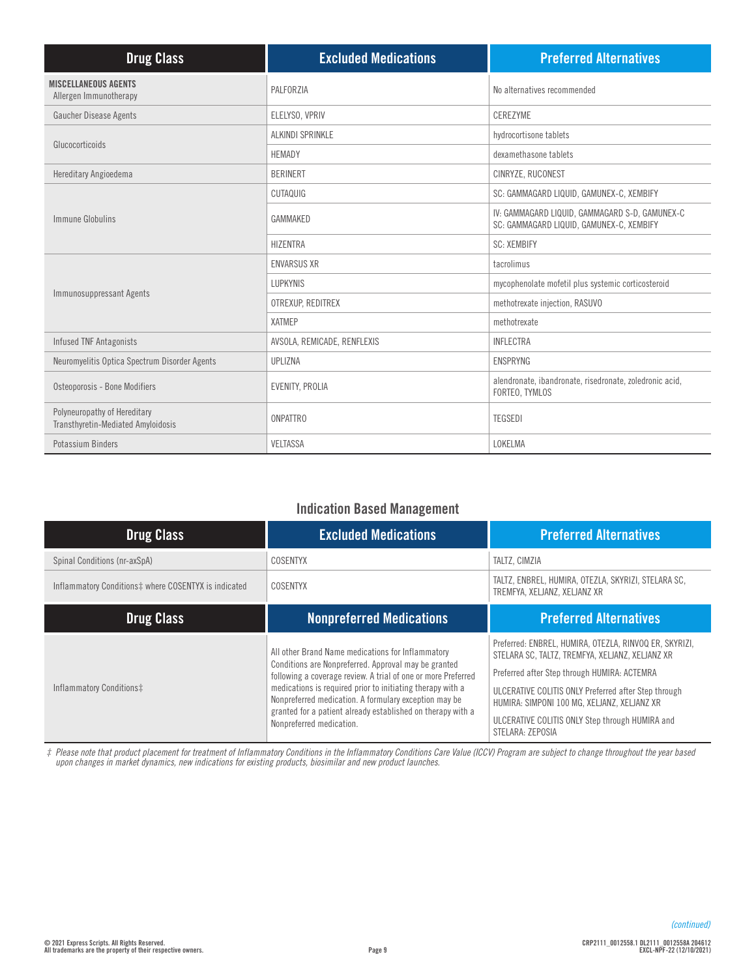| <b>Drug Class</b>                                                  | <b>Excluded Medications</b> | <b>Preferred Alternatives</b>                                                              |
|--------------------------------------------------------------------|-----------------------------|--------------------------------------------------------------------------------------------|
| <b>MISCELLANEOUS AGENTS</b><br>Allergen Immunotherapy              | PALFORZIA                   | No alternatives recommended                                                                |
| Gaucher Disease Agents                                             | ELELYSO, VPRIV              | CEREZYME                                                                                   |
| Glucocorticoids                                                    | <b>ALKINDI SPRINKLE</b>     | hydrocortisone tablets                                                                     |
|                                                                    | <b>HEMADY</b>               | dexamethasone tablets                                                                      |
| Hereditary Angioedema                                              | <b>BERINERT</b>             | CINRYZE, RUCONEST                                                                          |
|                                                                    | CUTAQUIG                    | SC: GAMMAGARD LIQUID, GAMUNEX-C, XEMBIFY                                                   |
| Immune Globulins                                                   | GAMMAKED                    | IV: GAMMAGARD LIQUID, GAMMAGARD S-D, GAMUNEX-C<br>SC: GAMMAGARD LIQUID, GAMUNEX-C, XEMBIFY |
|                                                                    | <b>HIZENTRA</b>             | <b>SC: XEMBIFY</b>                                                                         |
|                                                                    | <b>ENVARSUS XR</b>          | tacrolimus                                                                                 |
| Immunosuppressant Agents                                           | <b>LUPKYNIS</b>             | mycophenolate mofetil plus systemic corticosteroid                                         |
|                                                                    | OTREXUP, REDITREX           | methotrexate injection, RASUVO                                                             |
|                                                                    | <b>XATMEP</b>               | methotrexate                                                                               |
| <b>Infused TNF Antagonists</b>                                     | AVSOLA, REMICADE, RENFLEXIS | <b>INFLECTRA</b>                                                                           |
| Neuromyelitis Optica Spectrum Disorder Agents                      | UPLIZNA                     | <b>ENSPRYNG</b>                                                                            |
| Osteoporosis - Bone Modifiers                                      | <b>EVENITY, PROLIA</b>      | alendronate, ibandronate, risedronate, zoledronic acid,<br>FORTEO, TYMLOS                  |
| Polyneuropathy of Hereditary<br>Transthyretin-Mediated Amyloidosis | <b>ONPATTRO</b>             | <b>TEGSEDI</b>                                                                             |
| Potassium Binders                                                  | <b>VELTASSA</b>             | LOKELMA                                                                                    |

## **Indication Based Management**

| <b>Drug Class</b>                                    | <b>Excluded Medications</b>                                                                                                                                                                                                                                                                                                                                                                  | <b>Preferred Alternatives</b>                                                                                                                                                                                                                                                                                                           |
|------------------------------------------------------|----------------------------------------------------------------------------------------------------------------------------------------------------------------------------------------------------------------------------------------------------------------------------------------------------------------------------------------------------------------------------------------------|-----------------------------------------------------------------------------------------------------------------------------------------------------------------------------------------------------------------------------------------------------------------------------------------------------------------------------------------|
| Spinal Conditions (nr-axSpA)                         | COSENTYX                                                                                                                                                                                                                                                                                                                                                                                     | TALTZ. CIMZIA                                                                                                                                                                                                                                                                                                                           |
| Inflammatory Conditions‡ where COSENTYX is indicated | COSENTYX                                                                                                                                                                                                                                                                                                                                                                                     | TALTZ, ENBREL, HUMIRA, OTEZLA, SKYRIZI, STELARA SC,<br>TREMFYA, XELJANZ, XELJANZ XR                                                                                                                                                                                                                                                     |
| <b>Drug Class</b>                                    | <b>Nonpreferred Medications</b>                                                                                                                                                                                                                                                                                                                                                              | <b>Preferred Alternatives</b>                                                                                                                                                                                                                                                                                                           |
| Inflammatory Conditions‡                             | All other Brand Name medications for Inflammatory<br>Conditions are Nonpreferred. Approval may be granted<br>following a coverage review. A trial of one or more Preferred<br>medications is required prior to initiating therapy with a<br>Nonpreferred medication. A formulary exception may be<br>granted for a patient already established on therapy with a<br>Nonpreferred medication. | Preferred: ENBREL, HUMIRA, OTEZLA, RINVOQ ER, SKYRIZI,<br>STELARA SC, TALTZ, TREMFYA, XELJANZ, XELJANZ XR<br>Preferred after Step through HUMIRA: ACTEMRA<br>ULCERATIVE COLITIS ONLY Preferred after Step through<br>HUMIRA: SIMPONI 100 MG, XELJANZ, XELJANZ XR<br>ULCERATIVE COLITIS ONLY Step through HUMIRA and<br>STELARA: ZEPOSIA |

*‡ Please note that product placement for treatment of Inflammatory Conditions in the Inflammatory Conditions Care Value (ICCV) Program are subject to change throughout the year based upon changes in market dynamics, new indications for existing products, biosimilar and new product launches.*